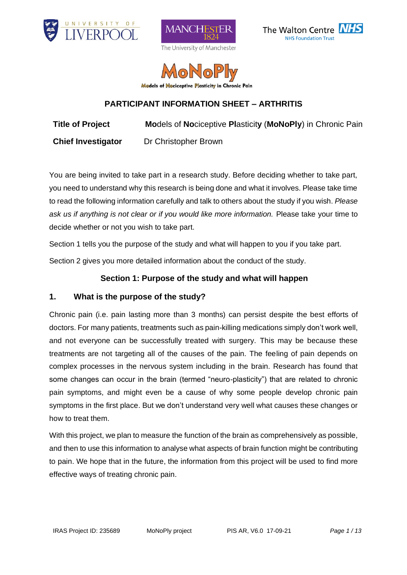







# **PARTICIPANT INFORMATION SHEET – ARTHRITIS**

**Title of Project Mo**dels of **No**ciceptive **Pl**asticit**y** (**MoNoPly**) in Chronic Pain

**Chief Investigator** Dr Christopher Brown

You are being invited to take part in a research study. Before deciding whether to take part, you need to understand why this research is being done and what it involves. Please take time to read the following information carefully and talk to others about the study if you wish. *Please ask us if anything is not clear or if you would like more information.* Please take your time to decide whether or not you wish to take part.

Section 1 tells you the purpose of the study and what will happen to you if you take part.

Section 2 gives you more detailed information about the conduct of the study.

# **Section 1: Purpose of the study and what will happen**

# **1. What is the purpose of the study?**

Chronic pain (i.e. pain lasting more than 3 months) can persist despite the best efforts of doctors. For many patients, treatments such as pain-killing medications simply don't work well, and not everyone can be successfully treated with surgery. This may be because these treatments are not targeting all of the causes of the pain. The feeling of pain depends on complex processes in the nervous system including in the brain. Research has found that some changes can occur in the brain (termed "neuro-plasticity") that are related to chronic pain symptoms, and might even be a cause of why some people develop chronic pain symptoms in the first place. But we don't understand very well what causes these changes or how to treat them.

With this project, we plan to measure the function of the brain as comprehensively as possible, and then to use this information to analyse what aspects of brain function might be contributing to pain. We hope that in the future, the information from this project will be used to find more effective ways of treating chronic pain.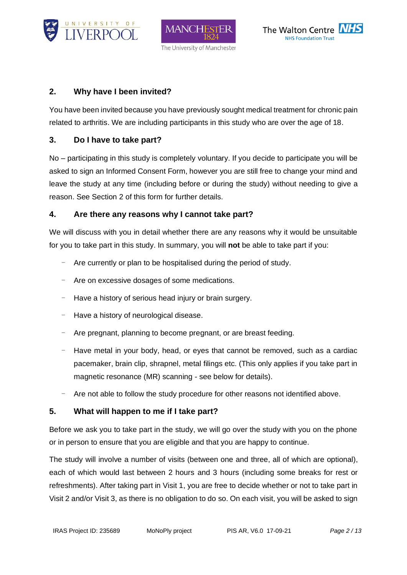





# **2. Why have I been invited?**

You have been invited because you have previously sought medical treatment for chronic pain related to arthritis. We are including participants in this study who are over the age of 18.

## **3. Do I have to take part?**

No – participating in this study is completely voluntary. If you decide to participate you will be asked to sign an Informed Consent Form, however you are still free to change your mind and leave the study at any time (including before or during the study) without needing to give a reason. See Section 2 of this form for further details.

## **4. Are there any reasons why I cannot take part?**

We will discuss with you in detail whether there are any reasons why it would be unsuitable for you to take part in this study. In summary, you will **not** be able to take part if you:

- Are currently or plan to be hospitalised during the period of study.
- Are on excessive dosages of some medications.
- Have a history of serious head injury or brain surgery.
- Have a history of neurological disease.
- Are pregnant, planning to become pregnant, or are breast feeding.
- Have metal in your body, head, or eyes that cannot be removed, such as a cardiac pacemaker, brain clip, shrapnel, metal filings etc. (This only applies if you take part in magnetic resonance (MR) scanning - see below for details).
- Are not able to follow the study procedure for other reasons not identified above.

# **5. What will happen to me if I take part?**

Before we ask you to take part in the study, we will go over the study with you on the phone or in person to ensure that you are eligible and that you are happy to continue.

The study will involve a number of visits (between one and three, all of which are optional), each of which would last between 2 hours and 3 hours (including some breaks for rest or refreshments). After taking part in Visit 1, you are free to decide whether or not to take part in Visit 2 and/or Visit 3, as there is no obligation to do so. On each visit, you will be asked to sign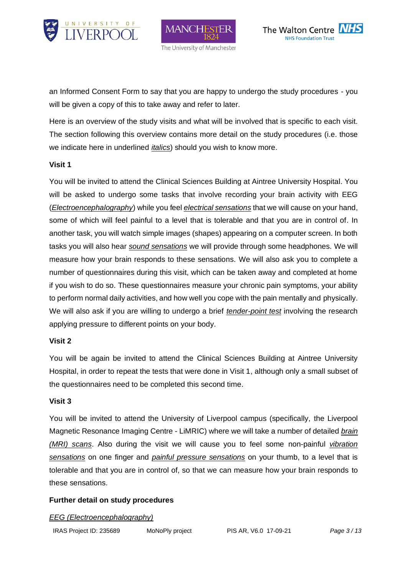

MAN( The University of Manchester



an Informed Consent Form to say that you are happy to undergo the study procedures - you will be given a copy of this to take away and refer to later.

Here is an overview of the study visits and what will be involved that is specific to each visit. The section following this overview contains more detail on the study procedures (i.e. those we indicate here in underlined *italics*) should you wish to know more.

#### **Visit 1**

You will be invited to attend the Clinical Sciences Building at Aintree University Hospital. You will be asked to undergo some tasks that involve recording your brain activity with EEG (*Electroencephalography*) while you feel *electrical sensations* that we will cause on your hand, some of which will feel painful to a level that is tolerable and that you are in control of. In another task, you will watch simple images (shapes) appearing on a computer screen. In both tasks you will also hear *sound sensations* we will provide through some headphones. We will measure how your brain responds to these sensations. We will also ask you to complete a number of questionnaires during this visit, which can be taken away and completed at home if you wish to do so. These questionnaires measure your chronic pain symptoms, your ability to perform normal daily activities, and how well you cope with the pain mentally and physically. We will also ask if you are willing to undergo a brief *tender-point test* involving the research applying pressure to different points on your body.

#### **Visit 2**

You will be again be invited to attend the Clinical Sciences Building at Aintree University Hospital, in order to repeat the tests that were done in Visit 1, although only a small subset of the questionnaires need to be completed this second time.

#### **Visit 3**

You will be invited to attend the University of Liverpool campus (specifically, the Liverpool Magnetic Resonance Imaging Centre - LiMRIC) where we will take a number of detailed *brain (MRI) scans*. Also during the visit we will cause you to feel some non-painful *vibration sensations* on one finger and *painful pressure sensations* on your thumb, to a level that is tolerable and that you are in control of, so that we can measure how your brain responds to these sensations.

### **Further detail on study procedures**

#### *EEG (Electroencephalography)*

IRAS Project ID: 235689 MoNoPly project PIS AR, V6.0 17-09-21 *Page 3 / 13*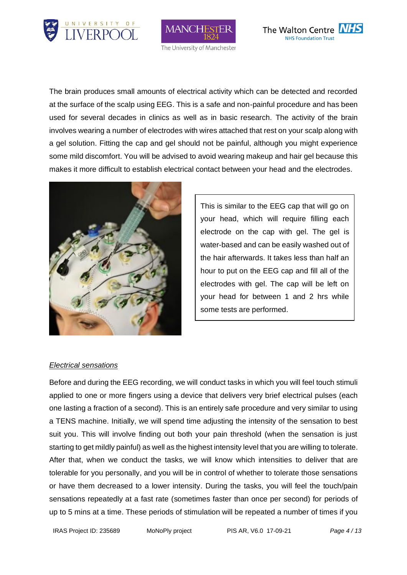





The brain produces small amounts of electrical activity which can be detected and recorded at the surface of the scalp using EEG. This is a safe and non-painful procedure and has been used for several decades in clinics as well as in basic research. The activity of the brain involves wearing a number of electrodes with wires attached that rest on your scalp along with a gel solution. Fitting the cap and gel should not be painful, although you might experience some mild discomfort. You will be advised to avoid wearing makeup and hair gel because this makes it more difficult to establish electrical contact between your head and the electrodes.



This is similar to the EEG cap that will go on your head, which will require filling each electrode on the cap with gel. The gel is water-based and can be easily washed out of the hair afterwards. It takes less than half an hour to put on the EEG cap and fill all of the electrodes with gel. The cap will be left on your head for between 1 and 2 hrs while some tests are performed.

#### *Electrical sensations*

Before and during the EEG recording, we will conduct tasks in which you will feel touch stimuli applied to one or more fingers using a device that delivers very brief electrical pulses (each one lasting a fraction of a second). This is an entirely safe procedure and very similar to using a TENS machine. Initially, we will spend time adjusting the intensity of the sensation to best suit you. This will involve finding out both your pain threshold (when the sensation is just starting to get mildly painful) as well as the highest intensity level that you are willing to tolerate. After that, when we conduct the tasks, we will know which intensities to deliver that are tolerable for you personally, and you will be in control of whether to tolerate those sensations or have them decreased to a lower intensity. During the tasks, you will feel the touch/pain sensations repeatedly at a fast rate (sometimes faster than once per second) for periods of up to 5 mins at a time. These periods of stimulation will be repeated a number of times if you

IRAS Project ID: 235689 MoNoPly project PIS AR, V6.0 17-09-21 *Page 4 / 13*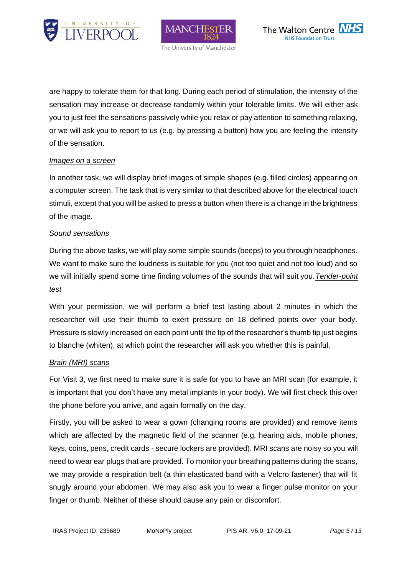





are happy to tolerate them for that long. During each period of stimulation, the intensity of the sensation may increase or decrease randomly within your tolerable limits. We will either ask you to just feel the sensations passively while you relax or pay attention to something relaxing, or we will ask you to report to us (e.g. by pressing a button) how you are feeling the intensity of the sensation.

#### *Images on a screen*

In another task, we will display brief images of simple shapes (e.g. filled circles) appearing on a computer screen. The task that is very similar to that described above for the electrical touch stimuli, except that you will be asked to press a button when there is a change in the brightness of the image.

#### *Sound sensations*

During the above tasks, we will play some simple sounds (beeps) to you through headphones. We want to make sure the loudness is suitable for you (not too quiet and not too loud) and so we will initially spend some time finding volumes of the sounds that will suit you.*Tender-point test*

With your permission, we will perform a brief test lasting about 2 minutes in which the researcher will use their thumb to exert pressure on 18 defined points over your body. Pressure is slowly increased on each point until the tip of the researcher's thumb tip just begins to blanche (whiten), at which point the researcher will ask you whether this is painful.

#### *Brain (MRI) scans*

For Visit 3, we first need to make sure it is safe for you to have an MRI scan (for example, it is important that you don't have any metal implants in your body). We will first check this over the phone before you arrive, and again formally on the day.

Firstly, you will be asked to wear a gown (changing rooms are provided) and remove items which are affected by the magnetic field of the scanner (e.g. hearing aids, mobile phones, keys, coins, pens, credit cards - secure lockers are provided). MRI scans are noisy so you will need to wear ear plugs that are provided. To monitor your breathing patterns during the scans, we may provide a respiration belt (a thin elasticated band with a Velcro fastener) that will fit snugly around your abdomen. We may also ask you to wear a finger pulse monitor on your finger or thumb. Neither of these should cause any pain or discomfort.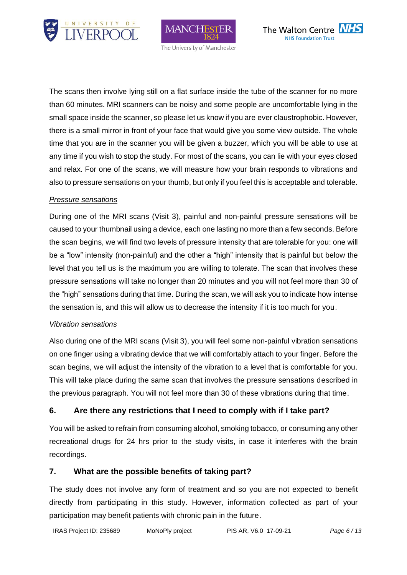





The scans then involve lying still on a flat surface inside the tube of the scanner for no more than 60 minutes. MRI scanners can be noisy and some people are uncomfortable lying in the small space inside the scanner, so please let us know if you are ever claustrophobic. However, there is a small mirror in front of your face that would give you some view outside. The whole time that you are in the scanner you will be given a buzzer, which you will be able to use at any time if you wish to stop the study. For most of the scans, you can lie with your eyes closed and relax. For one of the scans, we will measure how your brain responds to vibrations and also to pressure sensations on your thumb, but only if you feel this is acceptable and tolerable.

#### *Pressure sensations*

During one of the MRI scans (Visit 3), painful and non-painful pressure sensations will be caused to your thumbnail using a device, each one lasting no more than a few seconds. Before the scan begins, we will find two levels of pressure intensity that are tolerable for you: one will be a "low" intensity (non-painful) and the other a "high" intensity that is painful but below the level that you tell us is the maximum you are willing to tolerate. The scan that involves these pressure sensations will take no longer than 20 minutes and you will not feel more than 30 of the "high" sensations during that time. During the scan, we will ask you to indicate how intense the sensation is, and this will allow us to decrease the intensity if it is too much for you.

#### *Vibration sensations*

Also during one of the MRI scans (Visit 3), you will feel some non-painful vibration sensations on one finger using a vibrating device that we will comfortably attach to your finger. Before the scan begins, we will adjust the intensity of the vibration to a level that is comfortable for you. This will take place during the same scan that involves the pressure sensations described in the previous paragraph. You will not feel more than 30 of these vibrations during that time.

### **6. Are there any restrictions that I need to comply with if I take part?**

You will be asked to refrain from consuming alcohol, smoking tobacco, or consuming any other recreational drugs for 24 hrs prior to the study visits, in case it interferes with the brain recordings.

#### **7. What are the possible benefits of taking part?**

The study does not involve any form of treatment and so you are not expected to benefit directly from participating in this study. However, information collected as part of your participation may benefit patients with chronic pain in the future.

```
IRAS Project ID: 235689 MoNoPly project PIS AR, V6.0 17-09-21 Page 6 / 13
```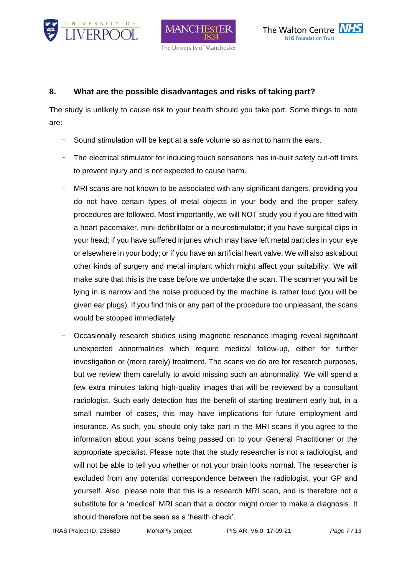





### **8. What are the possible disadvantages and risks of taking part?**

The study is unlikely to cause risk to your health should you take part. Some things to note are:

- Sound stimulation will be kept at a safe volume so as not to harm the ears.
- The electrical stimulator for inducing touch sensations has in-built safety cut-off limits to prevent injury and is not expected to cause harm.
- MRI scans are not known to be associated with any significant dangers, providing you do not have certain types of metal objects in your body and the proper safety procedures are followed. Most importantly, we will NOT study you if you are fitted with a heart pacemaker, mini-defibrillator or a neurostimulator; if you have surgical clips in your head; if you have suffered injuries which may have left metal particles in your eye or elsewhere in your body; or if you have an artificial heart valve. We will also ask about other kinds of surgery and metal implant which might affect your suitability. We will make sure that this is the case before we undertake the scan. The scanner you will be lying in is narrow and the noise produced by the machine is rather loud (you will be given ear plugs). If you find this or any part of the procedure too unpleasant, the scans would be stopped immediately.
- Occasionally research studies using magnetic resonance imaging reveal significant unexpected abnormalities which require medical follow-up, either for further investigation or (more rarely) treatment. The scans we do are for research purposes, but we review them carefully to avoid missing such an abnormality. We will spend a few extra minutes taking high-quality images that will be reviewed by a consultant radiologist. Such early detection has the benefit of starting treatment early but, in a small number of cases, this may have implications for future employment and insurance. As such, you should only take part in the MRI scans if you agree to the information about your scans being passed on to your General Practitioner or the appropriate specialist. Please note that the study researcher is not a radiologist, and will not be able to tell you whether or not your brain looks normal. The researcher is excluded from any potential correspondence between the radiologist, your GP and yourself. Also, please note that this is a research MRI scan, and is therefore not a substitute for a 'medical' MRI scan that a doctor might order to make a diagnosis. It should therefore not be seen as a 'health check'.

IRAS Project ID: 235689 MoNoPly project PIS AR, V6.0 17-09-21 *Page 7 / 13*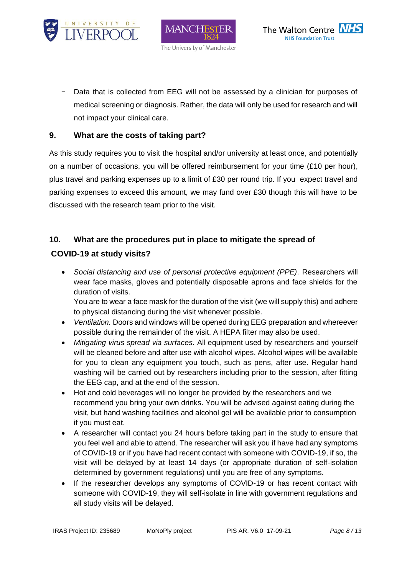





Data that is collected from EEG will not be assessed by a clinician for purposes of medical screening or diagnosis. Rather, the data will only be used for research and will not impact your clinical care.

### **9. What are the costs of taking part?**

As this study requires you to visit the hospital and/or university at least once, and potentially on a number of occasions, you will be offered reimbursement for your time  $(E10$  per hour), plus travel and parking expenses up to a limit of £30 per round trip. If you expect travel and parking expenses to exceed this amount, we may fund over £30 though this will have to be discussed with the research team prior to the visit.

## **10. What are the procedures put in place to mitigate the spread of**

# **COVID-19 at study visits?**

• *Social distancing and use of personal protective equipment (PPE).* Researchers will wear face masks, gloves and potentially disposable aprons and face shields for the duration of visits.

You are to wear a face mask for the duration of the visit (we will supply this) and adhere to physical distancing during the visit whenever possible.

- *Ventilation.* Doors and windows will be opened during EEG preparation and whereever possible during the remainder of the visit. A HEPA filter may also be used.
- *Mitigating virus spread via surfaces.* All equipment used by researchers and yourself will be cleaned before and after use with alcohol wipes. Alcohol wipes will be available for you to clean any equipment you touch, such as pens, after use. Regular hand washing will be carried out by researchers including prior to the session, after fitting the EEG cap, and at the end of the session.
- Hot and cold beverages will no longer be provided by the researchers and we recommend you bring your own drinks. You will be advised against eating during the visit, but hand washing facilities and alcohol gel will be available prior to consumption if you must eat.
- A researcher will contact you 24 hours before taking part in the study to ensure that you feel well and able to attend. The researcher will ask you if have had any symptoms of COVID-19 or if you have had recent contact with someone with COVID-19, if so, the visit will be delayed by at least 14 days (or appropriate duration of self-isolation determined by government regulations) until you are free of any symptoms.
- If the researcher develops any symptoms of COVID-19 or has recent contact with someone with COVID-19, they will self-isolate in line with government regulations and all study visits will be delayed.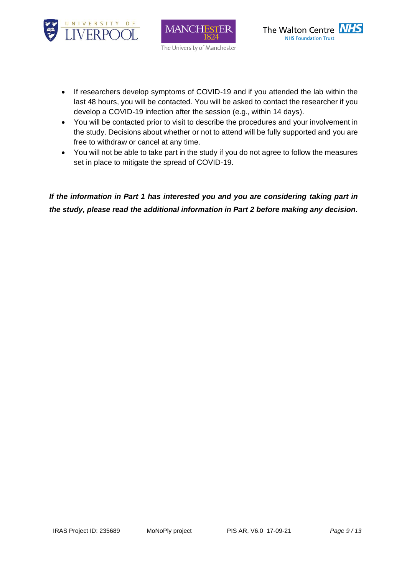





- If researchers develop symptoms of COVID-19 and if you attended the lab within the last 48 hours, you will be contacted. You will be asked to contact the researcher if you develop a COVID-19 infection after the session (e.g., within 14 days).
- You will be contacted prior to visit to describe the procedures and your involvement in the study. Decisions about whether or not to attend will be fully supported and you are free to withdraw or cancel at any time.
- You will not be able to take part in the study if you do not agree to follow the measures set in place to mitigate the spread of COVID-19.

*If the information in Part 1 has interested you and you are considering taking part in the study, please read the additional information in Part 2 before making any decision.*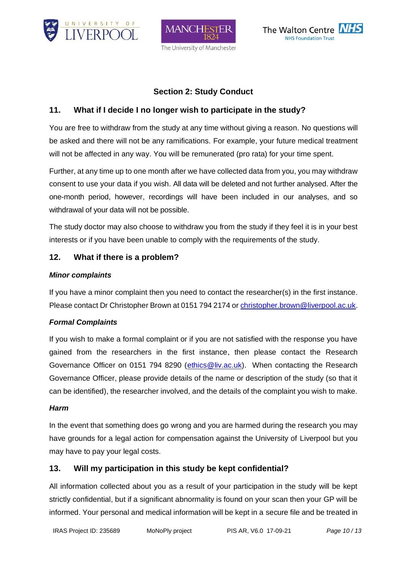





# **Section 2: Study Conduct**

# **11. What if I decide I no longer wish to participate in the study?**

You are free to withdraw from the study at any time without giving a reason. No questions will be asked and there will not be any ramifications. For example, your future medical treatment will not be affected in any way. You will be remunerated (pro rata) for your time spent.

Further, at any time up to one month after we have collected data from you, you may withdraw consent to use your data if you wish. All data will be deleted and not further analysed. After the one-month period, however, recordings will have been included in our analyses, and so withdrawal of your data will not be possible.

The study doctor may also choose to withdraw you from the study if they feel it is in your best interests or if you have been unable to comply with the requirements of the study.

## **12. What if there is a problem?**

### *Minor complaints*

If you have a minor complaint then you need to contact the researcher(s) in the first instance. Please contact Dr Christopher Brown at 0151 794 2174 o[r christopher.brown@liverpool.ac.uk.](mailto:christopher.brown@liverpool.ac.uk)

### *Formal Complaints*

If you wish to make a formal complaint or if you are not satisfied with the response you have gained from the researchers in the first instance, then please contact the Research Governance Officer on 0151 794 8290 [\(ethics@liv.ac.uk\)](mailto:ethics@liv.ac.uk). When contacting the Research Governance Officer, please provide details of the name or description of the study (so that it can be identified), the researcher involved, and the details of the complaint you wish to make.

### *Harm*

In the event that something does go wrong and you are harmed during the research you may have grounds for a legal action for compensation against the University of Liverpool but you may have to pay your legal costs.

# **13. Will my participation in this study be kept confidential?**

All information collected about you as a result of your participation in the study will be kept strictly confidential, but if a significant abnormality is found on your scan then your GP will be informed. Your personal and medical information will be kept in a secure file and be treated in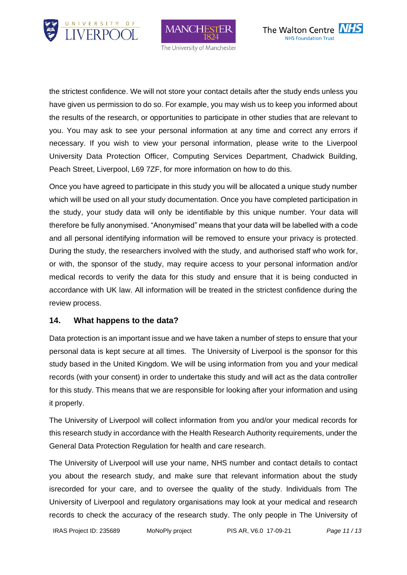





the strictest confidence. We will not store your contact details after the study ends unless you have given us permission to do so. For example, you may wish us to keep you informed about the results of the research, or opportunities to participate in other studies that are relevant to you. You may ask to see your personal information at any time and correct any errors if necessary. If you wish to view your personal information, please write to the Liverpool University Data Protection Officer, Computing Services Department, Chadwick Building, Peach Street, Liverpool, L69 7ZF, for more information on how to do this.

Once you have agreed to participate in this study you will be allocated a unique study number which will be used on all your study documentation. Once you have completed participation in the study, your study data will only be identifiable by this unique number. Your data will therefore be fully anonymised. "Anonymised" means that your data will be labelled with a code and all personal identifying information will be removed to ensure your privacy is protected. During the study, the researchers involved with the study, and authorised staff who work for, or with, the sponsor of the study, may require access to your personal information and/or medical records to verify the data for this study and ensure that it is being conducted in accordance with UK law. All information will be treated in the strictest confidence during the review process.

### **14. What happens to the data?**

Data protection is an important issue and we have taken a number of steps to ensure that your personal data is kept secure at all times. The University of Liverpool is the sponsor for this study based in the United Kingdom. We will be using information from you and your medical records (with your consent) in order to undertake this study and will act as the data controller for this study. This means that we are responsible for looking after your information and using it properly.

The University of Liverpool will collect information from you and/or your medical records for this research study in accordance with the Health Research Authority requirements, under the General Data Protection Regulation for health and care research.

The University of Liverpool will use your name, NHS number and contact details to contact you about the research study, and make sure that relevant information about the study isrecorded for your care, and to oversee the quality of the study. Individuals from The University of Liverpool and regulatory organisations may look at your medical and research records to check the accuracy of the research study. The only people in The University of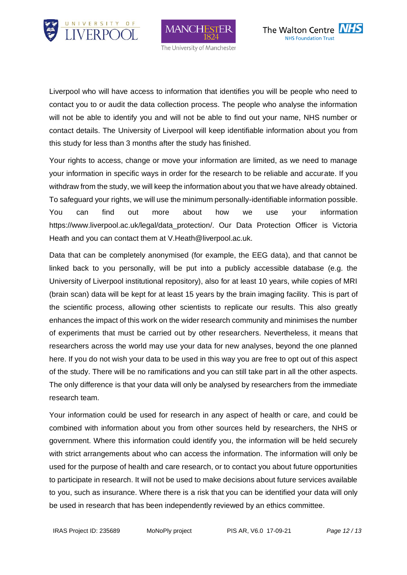





Liverpool who will have access to information that identifies you will be people who need to contact you to or audit the data collection process. The people who analyse the information will not be able to identify you and will not be able to find out your name, NHS number or contact details. The University of Liverpool will keep identifiable information about you from this study for less than 3 months after the study has finished.

Your rights to access, change or move your information are limited, as we need to manage your information in specific ways in order for the research to be reliable and accurate. If you withdraw from the study, we will keep the information about you that we have already obtained. To safeguard your rights, we will use the minimum personally-identifiable information possible. You can find out more about how we use your information https://www.liverpool.ac.uk/legal/data\_protection/. Our Data Protection Officer is Victoria Heath and you can contact them at V.Heath@liverpool.ac.uk.

Data that can be completely anonymised (for example, the EEG data), and that cannot be linked back to you personally, will be put into a publicly accessible database (e.g. the University of Liverpool institutional repository), also for at least 10 years, while copies of MRI (brain scan) data will be kept for at least 15 years by the brain imaging facility. This is part of the scientific process, allowing other scientists to replicate our results. This also greatly enhances the impact of this work on the wider research community and minimises the number of experiments that must be carried out by other researchers. Nevertheless, it means that researchers across the world may use your data for new analyses, beyond the one planned here. If you do not wish your data to be used in this way you are free to opt out of this aspect of the study. There will be no ramifications and you can still take part in all the other aspects. The only difference is that your data will only be analysed by researchers from the immediate research team.

Your information could be used for research in any aspect of health or care, and could be combined with information about you from other sources held by researchers, the NHS or government. Where this information could identify you, the information will be held securely with strict arrangements about who can access the information. The information will only be used for the purpose of health and care research, or to contact you about future opportunities to participate in research. It will not be used to make decisions about future services available to you, such as insurance. Where there is a risk that you can be identified your data will only be used in research that has been independently reviewed by an ethics committee.